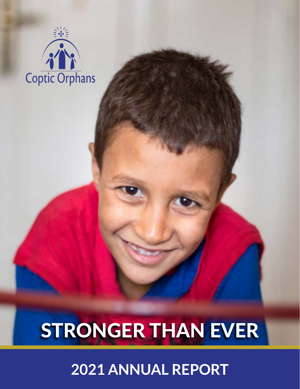

# STRONGER THAN EVER

# **2021 ANNUAL REPORT**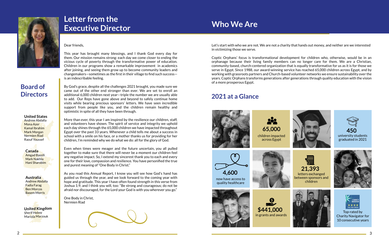# **Letter from the Executive Director**



**Board of** 

**Directors**

Dear friends,

This year has brought many blessings, and I thank God every day for them. Our mission remains strong: each day we come closer to ending the vicious cycle of poverty through the transformative power of education. Children in our programs show a remarkable improvement in academics after joining, and seeing them grow up to become community leaders and changemakers—sometimes as the first in their village to find such success is an indescribable feeling.

By God's grace, despite all the challenges 2021 brought, you made sure we came out of the other end stronger than ever. We are set to enroll an additional 6,000 children next year—triple the number we are usually able to add. Our Reps have gone above and beyond to safely continue home visits while bearing precious sponsors' letters. We have seen incredible support from people like you, and the children remain healthy and optimistic in spite of all they have been through.

More than ever, this year I am inspired by the resilience our children, staff, and volunteers have shown. The spirit of service and integrity we uphold each day shines through the 65,000 children we have impacted throughout Egypt over the past 33 years. Whenever a child tells me about a success in school with a smile on his face, or a mother thanks us for providing for her children, I'm reminded why we do what we do: all for the glory of God.

Even when times were meager and the future uncertain, you all pulled together to make sure that there will never be a moment our children feel any negative impact. So, I extend my sincerest thank you to each and every one for their love, compassion and resilience. You have personified the true and purest meaning of "One Body in Christ."

As you read this Annual Report, I know you will see how God's hand has guided us through the year, and we look forward to the coming year with hope and gratitude. This year I have often found strength in this verse from Joshua 1:9, and I think you will, too: "Be strong and courageous; do not be afraid nor discouraged, for the Lord your God is with you wherever you go."

One Body in Christ, Nermien Riad



**Australia**  Andrew Abdalla Fadia Farag Ben Morcos Basem Morris

**Canada** Amgad Bassili Mark Nakhla Hani Sharobim

**United States** Andrew Abdalla Mona Azer Kamal Ibrahim Mark Morgan Nermien Riad Raouf Youssef

**United Kingdom** Sherif Helmy Mariola Marzouk

Let's start with who we are not. We are not a charity that hands out money, and neither are we interested in victimizing those we serve.

Coptic Orphans' focus is transformational development for children who, otherwise, would be in an orphanage because their living family members can no longer care for them. We are a Christian, community-based, church-centered organization that is equally transformative for us as it is for those we serve in Egypt. Since 1988, our award-winning service has reached 65,000 children across Egypt, and by working with grassroots partners and Church-based volunteer networks we ensure sustainability over the years. Coptic Orphans transforms generations after generations through quality education with the vision of a more prosperous Egypt.

# **Who We Are**

### **2021 at a Glance**











**65,000**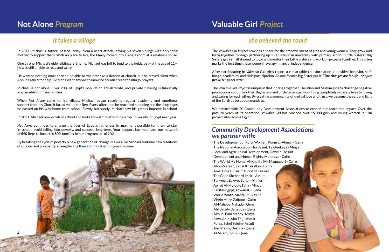- The Development of Rural Women, Koum El-Ahmar Qena
- The National Association for Jesuit, Tawfeekeya Minya
- Local and Agricultural Development, Deweir Assuit
- Development and Human Rights, Matareya Cairo
- The World My Home, Al-Khalifa (Al- Maquaber) Cairo
- Abou-Siefeen, Ezbat Khairallah Cairo
- Amal Bokra, Dairut Al-Sharif Assuit
- The Good Shepherd, Meir Assuit
- Tanweer, Zawyet Sultan- Minya
- Awlad Al-Molouk, Taha Minya
- Caritas Egypt, Towairat Qena
- World Youth, Manfalut Assuit
- Virgin Mary, Zaitoon Cairo
- Al-Mahaba, Nakada Qena
- Ahl Balady, Jarajous Qena
- Akoun, Bani Mahdy- Minya
- Sawa Ahla, Abu Teij Assuit
- Forsa, Sahel Seleim- Assuit
- Ana Masry, Deshna Qena
- Al-Salam, Qous Qena



The *Valuable Girl Project* provides a space for the empowerment of girls and young women. They grow and learn together through partnering up "Big Sisters" in university with primary school "Little Sisters." Big Sisters get a small stipend to tutor and mentor their Little Sisters and work on projects together. This often marks the first time these women have any financial independence.

After participating in *Valuable Girl*, girls report a remarkable transformation in positive behavior, selfimage, academics, and civic participation. As one former Big Sister put it, *"The changes are for life—not just five or ten years later."*

The *Valuable Girl Project* is unique in that it brings together Christian and Muslim girls to challenge negative perceptions about the other. Big Sisters and Little Sisters go from living completely separate lives to loving and caring for each other. By creating a community of mutual love and trust, we become the salt and light of the Earth as Jesus commands us.

We partner with 20 Community Development Associations to expand our reach and impact. Over the past 20 years of its operation, *Valuable Girl* has reached over **15,000** girls and young women in **184**  project sites across Egypt.

### *Community Development Associations we partner with:*

In 2011, Michael's father passed away from a heart attack, leaving his seven siblings with only their mother to support them. With no place to live, the family moved into a single room at a relative's house.

One by one, Michael's older siblings left home. Michael was left to tend to the fields, yet—at the age of 11 he was still unable to read and write.

He wanted nothing more than to be able to volunteer as a deacon at church, but he stayed silent when Abouna asked for help. He didn't want anyone to know he couldn't read the liturgy prayers.

Michael is not alone. Over 20% of Egypt's population are illiterate, and private tutoring is financially inaccessible for many families.

When *Not Alone* came to his village, Michael began receiving regular academic and emotional support from his Church-based volunteer Rep. Every afternoon he practiced sounding out the shop signs he passed on his way home from school. Slowly but surely, Michael saw his grades improve in school.

In 2021, Michael now excels in school and looks forward to attending a top university in Egypt next year!

*Not Alone* continues to change the lives of Egypt's fatherless by making it possible for them to stay in school, avoid falling into poverty, and succeed long-term. Your support has mobilized our network of **590** Reps to impact **6,800** families in our programs as of 2021.

By breaking the cycle of poverty, a new generation of change-makers like Michael continue new traditions of success and prosperity, strengthening their communities for years to come.

## **Not Alone** *Program*

### *it takes a village*

# **Valuable Girl** *Project*

### *she believed she could*

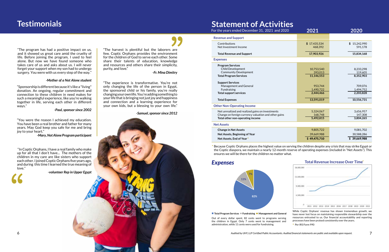#### **Revenue and Support**

#### **Expenses**

**Contributions** Net Investment Income

#### **Net Assets**

#### **Other Non-Operating Income**

#### **Total Revenue and Support**

Net unrealized and realized gains on investments Change on foreign currency valuation and other gains **Total other non-operating income**

 $^\ast$  Because Coptic Orphans places the highest value on serving the children despite any crisis that may strike Egypt or the Coptic diaspora, we maintain a nearly 12-month reserve of operating expenses (included in "Net Assets"). This ensures we will be there for the children no matter what.

**Program Services**

 Child Development Community Development **Total Program Services**

#### **Support Services**

**Change in Net Assets Net Assets, Beginning of Year Net Assets, End of Year** \*

| es              |                         |                             |
|-----------------|-------------------------|-----------------------------|
| 20 <sup>2</sup> | 2021                    | 2020                        |
|                 |                         |                             |
|                 | \$17,435,534<br>468,392 | 15,242,990<br>\$<br>591,178 |
|                 | 17,903,926              | 15,834,168                  |
|                 |                         |                             |
|                 |                         |                             |
|                 | 10,753,540<br>393,013   | 8,233,298<br>119,605        |
|                 | 11,146,553              | 8,352,903                   |
|                 |                         |                             |
|                 | 953,744                 | 709,076                     |
|                 | 1,490,722<br>2,444,466  | 1,494,752<br>2,203,828      |
|                 |                         |                             |
|                 | 13,591,019              | 10,556,731                  |
|                 |                         |                             |
|                 | 5,324,067               | 3,656,957                   |
|                 | 168,748                 | 147,308                     |
|                 | 5,492,815               | 3,804,265                   |
|                 |                         |                             |
|                 | 9,805,722               | 9,081,702                   |
|                 | 39,669,988              | 30,588,286                  |
|                 | \$49,475,710            | \$39,669,988                |
|                 |                         |                             |

 Management and General Fundraising **Total support services**

#### **Total Expenses**

"Sponsorship is different because it's like a "living" donation. An ongoing, regular commitment and connection to these children in need makes for such a meaningful experience, like you're walking together in life, serving each other in different ways."

#### *-Paul, sponsor since 2002*

"The program has had a positive impact on us, and it showed us great care amid the cruelty of life. Before joining the program, I used to feel alone. But now we have found someone who takes care of us and asks about us. I will never forget your support when my son had to undergo surgery. You were with us every step of the way."

#### *-Mother of a Not Alone student*

#### *Expenses*

Out of every dollar spent, 82 cents went to programs serving the children in Egypt. Only 7 cents went to management and administration, while 11 cents were used for fundraising.

"The harvest is plentiful but the laborers are few. Coptic Orphans provides the environment for the children of God to serve each other. Some share their talents of education, knowledge and resources and others share their simplicity, purity, and love."

*-Fr. Mina Dimitry* 

"The experience is transformative. You're not only changing the life of the person in Egypt, the sponsored child or his family, you're really changing your own life. You're adding something to your life that is bringing not just joy and happiness and connection and a learning experience for your own kids, but a blessing to your own life."



#### *-Samuel, sponsor since 2012*

### **Statement of Activition**

For the years ended December 31, 2021 and 202

**Total Program Services Fundraising Management and General**

"You were the reason I achieved my education. You have been a real brother and father for many years. May God keep you safe for me and bring joy to your heart."

*-Mary, Not Alone Program participant*

- While Coptic Orphans' revenue has shown tremendous growth, we have never lost focus on maintaining responsible stewardship over the resources entrusted to us. Our financial accountability and reporting processes have been praised consistently over the years.
	- \* Per IRS Form 990

 "In Coptic Orphans, I have a real family who make up for all that I don't have... The mothers of the children in my care are like sisters who support each other. I joined Coptic Orphans five years ago, and during this time I learned the true meaning of love."

*-volunteer Rep in Upper Egypt*